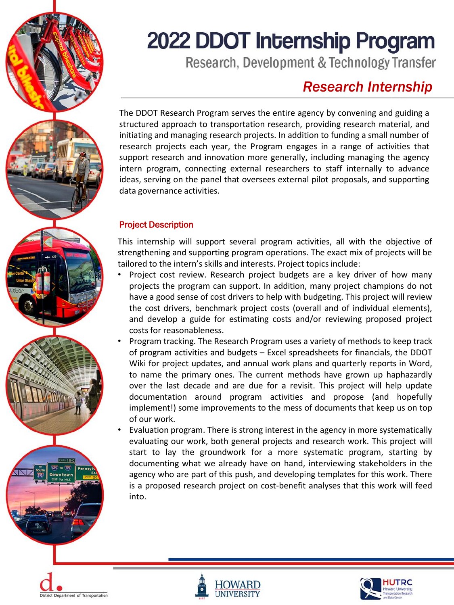

# 2022 DDOT Internship Program

Research, Development & Technology Transfer

## *Research Internship*

The DDOT Research Program serves the entire agency by convening and guiding a structured approach to transportation research, providing research material, and initiating and managing research projects. In addition to funding a small number of research projects each year, the Program engages in a range of activities that support research and innovation more generally, including managing the agency intern program, connecting external researchers to staff internally to advance ideas, serving on the panel that oversees external pilot proposals, and supporting data governance activities.

### Project Description

This internship will support several program activities, all with the objective of strengthening and supporting program operations. The exact mix of projects will be tailored to the intern's skills and interests. Project topics include:

- Project cost review. Research project budgets are a key driver of how many projects the program can support. In addition, many project champions do not have a good sense of cost drivers to help with budgeting. This project will review the cost drivers, benchmark project costs (overall and of individual elements), and develop a guide for estimating costs and/or reviewing proposed project costs for reasonableness.
- Program tracking. The Research Program uses a variety of methods to keep track of program activities and budgets – Excel spreadsheets for financials, the DDOT Wiki for project updates, and annual work plans and quarterly reports in Word, to name the primary ones. The current methods have grown up haphazardly over the last decade and are due for a revisit. This project will help update documentation around program activities and propose (and hopefully implement!) some improvements to the mess of documents that keep us on top of our work.
- Evaluation program. There is strong interest in the agency in more systematically evaluating our work, both general projects and research work. This project will start to lay the groundwork for a more systematic program, starting by documenting what we already have on hand, interviewing stakeholders in the agency who are part of this push, and developing templates for this work. There is a proposed research project on cost-benefit analyses that this work will feed into.